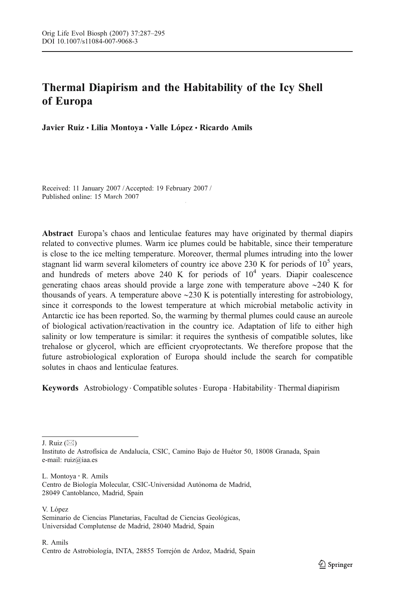# Thermal Diapirism and the Habitability of the Icy Shell of Europa

Javier Ruiz • Lilia Montoya • Valle López • Ricardo Amils

Received: 11 January 2007 / Accepted: 19 February 2007 / Published online: 15 March 2007

 $\mathcal{S}_{\mathcal{S}}$  Springer Science  $\mathcal{S}_{\mathcal{S}}$ 

Abstract Europa's chaos and lenticulae features may have originated by thermal diapirs related to convective plumes. Warm ice plumes could be habitable, since their temperature is close to the ice melting temperature. Moreover, thermal plumes intruding into the lower stagnant lid warm several kilometers of country ice above 230 K for periods of  $10^5$  years, and hundreds of meters above 240 K for periods of  $10<sup>4</sup>$  years. Diapir coalescence generating chaos areas should provide a large zone with temperature above ∼240 K for thousands of years. A temperature above ∼230 K is potentially interesting for astrobiology, since it corresponds to the lowest temperature at which microbial metabolic activity in Antarctic ice has been reported. So, the warming by thermal plumes could cause an aureole of biological activation/reactivation in the country ice. Adaptation of life to either high salinity or low temperature is similar: it requires the synthesis of compatible solutes, like trehalose or glycerol, which are efficient cryoprotectants. We therefore propose that the future astrobiological exploration of Europa should include the search for compatible solutes in chaos and lenticulae features.

Keywords Astrobiology . Compatible solutes . Europa . Habitability . Thermal diapirism

J. Ruiz  $(\boxtimes)$ 

L. Montoya : R. Amils Centro de Biología Molecular, CSIC-Universidad Autónoma de Madrid, 28049 Cantoblanco, Madrid, Spain

V. López Seminario de Ciencias Planetarias, Facultad de Ciencias Geológicas, Universidad Complutense de Madrid, 28040 Madrid, Spain

Instituto de Astrofísica de Andalucía, CSIC, Camino Bajo de Huétor 50, 18008 Granada, Spain e-mail: ruiz@iaa.es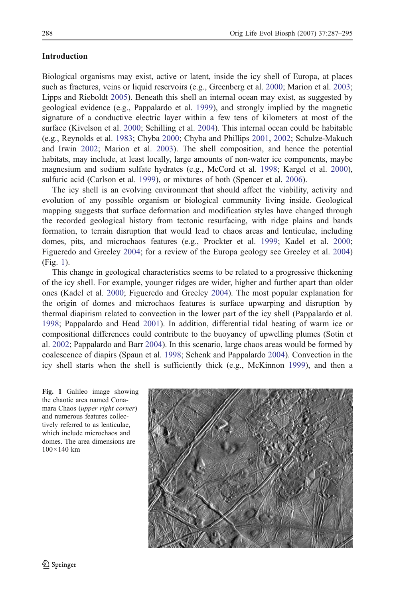### **Introduction**

Biological organisms may exist, active or latent, inside the icy shell of Europa, at places such as fractures, veins or liquid reservoirs (e.g., Greenberg et al. [2000;](#page-7-0) Marion et al. [2003](#page-7-0); Lipps and Rieboldt [2005](#page-7-0)). Beneath this shell an internal ocean may exist, as suggested by geological evidence (e.g., Pappalardo et al. [1999](#page-7-0)), and strongly implied by the magnetic signature of a conductive electric layer within a few tens of kilometers at most of the surface (Kivelson et al. [2000;](#page-7-0) Schilling et al. [2004](#page-8-0)). This internal ocean could be habitable (e.g., Reynolds et al. [1983;](#page-8-0) Chyba [2000;](#page-6-0) Chyba and Phillips [2001](#page-6-0), [2002;](#page-6-0) Schulze-Makuch and Irwin [2002](#page-8-0); Marion et al. [2003](#page-7-0)). The shell composition, and hence the potential habitats, may include, at least locally, large amounts of non-water ice components, maybe magnesium and sodium sulfate hydrates (e.g., McCord et al. [1998;](#page-7-0) Kargel et al. [2000](#page-7-0)), sulfuric acid (Carlson et al. [1999](#page-6-0)), or mixtures of both (Spencer et al. [2006\)](#page-8-0).

The icy shell is an evolving environment that should affect the viability, activity and evolution of any possible organism or biological community living inside. Geological mapping suggests that surface deformation and modification styles have changed through the recorded geological history from tectonic resurfacing, with ridge plains and bands formation, to terrain disruption that would lead to chaos areas and lenticulae, including domes, pits, and microchaos features (e.g., Prockter et al. [1999](#page-8-0); Kadel et al. [2000](#page-7-0); Figueredo and Greeley [2004](#page-7-0); for a review of the Europa geology see Greeley et al. [2004\)](#page-7-0) (Fig. 1).

This change in geological characteristics seems to be related to a progressive thickening of the icy shell. For example, younger ridges are wider, higher and further apart than older ones (Kadel et al. [2000;](#page-7-0) Figueredo and Greeley [2004](#page-7-0)). The most popular explanation for the origin of domes and microchaos features is surface upwarping and disruption by thermal diapirism related to convection in the lower part of the icy shell (Pappalardo et al. [1998;](#page-7-0) Pappalardo and Head [2001](#page-7-0)). In addition, differential tidal heating of warm ice or compositional differences could contribute to the buoyancy of upwelling plumes (Sotin et al. [2002](#page-8-0); Pappalardo and Barr [2004\)](#page-7-0). In this scenario, large chaos areas would be formed by coalescence of diapirs (Spaun et al. [1998;](#page-8-0) Schenk and Pappalardo [2004](#page-8-0)). Convection in the icy shell starts when the shell is sufficiently thick (e.g., McKinnon [1999\)](#page-7-0), and then a

Fig. 1 Galileo image showing the chaotic area named Conamara Chaos (upper right corner) and numerous features collectively referred to as lenticulae, which include microchaos and domes. The area dimensions are 100×140 km

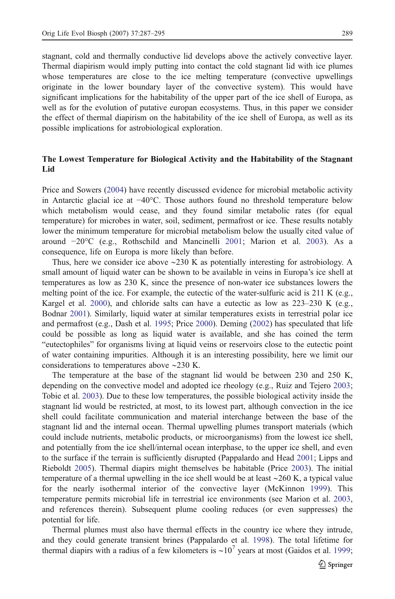stagnant, cold and thermally conductive lid develops above the actively convective layer. Thermal diapirism would imply putting into contact the cold stagnant lid with ice plumes whose temperatures are close to the ice melting temperature (convective upwellings originate in the lower boundary layer of the convective system). This would have significant implications for the habitability of the upper part of the ice shell of Europa, as well as for the evolution of putative europan ecosystems. Thus, in this paper we consider the effect of thermal diapirism on the habitability of the ice shell of Europa, as well as its possible implications for astrobiological exploration.

# The Lowest Temperature for Biological Activity and the Habitability of the Stagnant Lid

Price and Sowers ([2004\)](#page-8-0) have recently discussed evidence for microbial metabolic activity in Antarctic glacial ice at −40°C. Those authors found no threshold temperature below which metabolism would cease, and they found similar metabolic rates (for equal temperature) for microbes in water, soil, sediment, permafrost or ice. These results notably lower the minimum temperature for microbial metabolism below the usually cited value of around −20°C (e.g., Rothschild and Mancinelli [2001](#page-8-0); Marion et al. [2003](#page-7-0)). As a consequence, life on Europa is more likely than before.

Thus, here we consider ice above ∼230 K as potentially interesting for astrobiology. A small amount of liquid water can be shown to be available in veins in Europa's ice shell at temperatures as low as 230 K, since the presence of non-water ice substances lowers the melting point of the ice. For example, the eutectic of the water-sulfuric acid is 211 K (e.g., Kargel et al. [2000](#page-7-0)), and chloride salts can have a eutectic as low as 223–230 K (e.g., Bodnar [2001\)](#page-6-0). Similarly, liquid water at similar temperatures exists in terrestrial polar ice and permafrost (e.g., Dash et al. [1995;](#page-6-0) Price [2000\)](#page-7-0). Deming [\(2002](#page-7-0)) has speculated that life could be possible as long as liquid water is available, and she has coined the term "eutectophiles" for organisms living at liquid veins or reservoirs close to the eutectic point of water containing impurities. Although it is an interesting possibility, here we limit our considerations to temperatures above ∼230 K.

The temperature at the base of the stagnant lid would be between 230 and 250 K, depending on the convective model and adopted ice rheology (e.g., Ruiz and Tejero [2003](#page-8-0); Tobie et al. [2003](#page-8-0)). Due to these low temperatures, the possible biological activity inside the stagnant lid would be restricted, at most, to its lowest part, although convection in the ice shell could facilitate communication and material interchange between the base of the stagnant lid and the internal ocean. Thermal upwelling plumes transport materials (which could include nutrients, metabolic products, or microorganisms) from the lowest ice shell, and potentially from the ice shell/internal ocean interphase, to the upper ice shell, and even to the surface if the terrain is sufficiently disrupted (Pappalardo and Head [2001](#page-7-0); Lipps and Rieboldt [2005\)](#page-7-0). Thermal diapirs might themselves be habitable (Price [2003](#page-8-0)). The initial temperature of a thermal upwelling in the ice shell would be at least ∼260 K, a typical value for the nearly isothermal interior of the convective layer (McKinnon [1999](#page-7-0)). This temperature permits microbial life in terrestrial ice environments (see Marion et al. [2003](#page-7-0), and references therein). Subsequent plume cooling reduces (or even suppresses) the potential for life.

Thermal plumes must also have thermal effects in the country ice where they intrude, and they could generate transient brines (Pappalardo et al. [1998](#page-7-0)). The total lifetime for thermal diapirs with a radius of a few kilometers is  $\sim 10^7$  years at most (Gaidos et al. [1999](#page-7-0);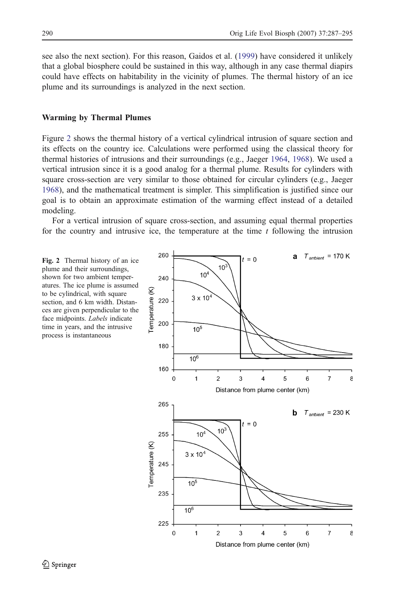<span id="page-3-0"></span>see also the next section). For this reason, Gaidos et al. ([1999\)](#page-7-0) have considered it unlikely that a global biosphere could be sustained in this way, although in any case thermal diapirs could have effects on habitability in the vicinity of plumes. The thermal history of an ice plume and its surroundings is analyzed in the next section.

#### Warming by Thermal Plumes

Figure 2 shows the thermal history of a vertical cylindrical intrusion of square section and its effects on the country ice. Calculations were performed using the classical theory for thermal histories of intrusions and their surroundings (e.g., Jaeger [1964](#page-7-0), [1968](#page-7-0)). We used a vertical intrusion since it is a good analog for a thermal plume. Results for cylinders with square cross-section are very similar to those obtained for circular cylinders (e.g., Jaeger [1968\)](#page-7-0), and the mathematical treatment is simpler. This simplification is justified since our goal is to obtain an approximate estimation of the warming effect instead of a detailed modeling.

For a vertical intrusion of square cross-section, and assuming equal thermal properties for the country and intrusive ice, the temperature at the time  $t$  following the intrusion

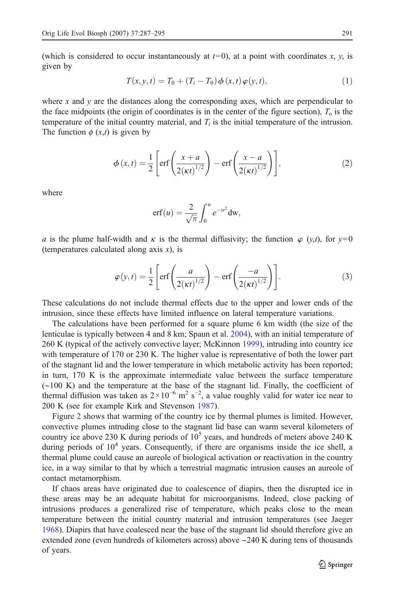(which is considered to occur instantaneously at  $t=0$ ), at a point with coordinates x, y, is given by

$$
T(x, y, t) = T_0 + (T_i - T_0) \phi(x, t) \varphi(y, t),
$$
\n(1)

where x and y are the distances along the corresponding axes, which are perpendicular to the face midpoints (the origin of coordinates is in the center of the figure section),  $T_0$  is the temperature of the initial country material, and  $T_i$  is the initial temperature of the intrusion. The function  $\phi$  (x,t) is given by

$$
\phi(x,t) = \frac{1}{2} \left[ \text{erf}\left(\frac{x+a}{2(\kappa t)^{1/2}}\right) - \text{erf}\left(\frac{x-a}{2(\kappa t)^{1/2}}\right) \right],\tag{2}
$$

where

$$
\mathrm{erf}(u) = \frac{2}{\sqrt{\pi}} \int_0^u e^{-w^2} \mathrm{d}w,
$$

a is the plume half-width and  $\kappa$  is the thermal diffusivity; the function  $\varphi$  (y,t), for y=0 (temperatures calculated along axis  $x$ ), is

$$
\varphi(y,t) = \frac{1}{2} \left[ \operatorname{erf}\left(\frac{a}{2(\kappa t)^{1/2}}\right) - \operatorname{erf}\left(\frac{-a}{2(\kappa t)^{1/2}}\right) \right].
$$
 (3)

These calculations do not include thermal effects due to the upper and lower ends of the intrusion, since these effects have limited influence on lateral temperature variations.

The calculations have been performed for a square plume 6 km width (the size of the lenticulae is typically between 4 and 8 km; Spaun et al. [2004\)](#page-8-0), with an initial temperature of 260 K (typical of the actively convective layer; McKinnon [1999\)](#page-7-0), intruding into country ice with temperature of 170 or 230 K. The higher value is representative of both the lower part of the stagnant lid and the lower temperature in which metabolic activity has been reported; in turn, 170 K is the approximate intermediate value between the surface temperature (∼100 K) and the temperature at the base of the stagnant lid. Finally, the coefficient of thermal diffusion was taken as  $2 \times 10^{-6}$  m<sup>2</sup> s<sup>-2</sup>, a value roughly valid for water ice near to 200 K (see for example Kirk and Stevenson [1987\)](#page-7-0).

Figure [2](#page-3-0) shows that warming of the country ice by thermal plumes is limited. However, convective plumes intruding close to the stagnant lid base can warm several kilometers of country ice above 230 K during periods of  $10<sup>5</sup>$  years, and hundreds of meters above 240 K during periods of  $10<sup>4</sup>$  years. Consequently, if there are organisms inside the ice shell, a thermal plume could cause an aureole of biological activation or reactivation in the country ice, in a way similar to that by which a terrestrial magmatic intrusion causes an aureole of contact metamorphism.

If chaos areas have originated due to coalescence of diapirs, then the disrupted ice in these areas may be an adequate habitat for microorganisms. Indeed, close packing of intrusions produces a generalized rise of temperature, which peaks close to the mean temperature between the initial country material and intrusion temperatures (see Jaeger [1968\)](#page-7-0). Diapirs that have coalesced near the base of the stagnant lid should therefore give an extended zone (even hundreds of kilometers across) above ∼240 K during tens of thousands of years.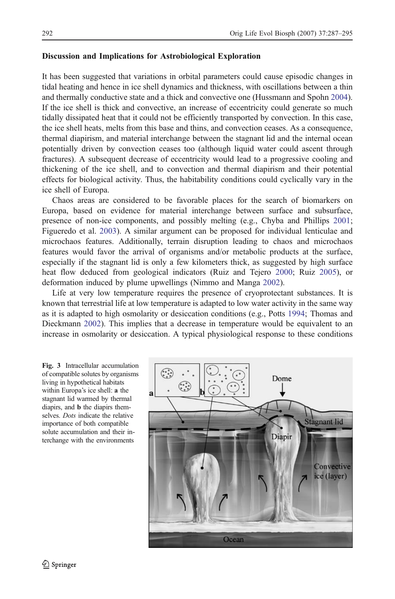## <span id="page-5-0"></span>Discussion and Implications for Astrobiological Exploration

It has been suggested that variations in orbital parameters could cause episodic changes in tidal heating and hence in ice shell dynamics and thickness, with oscillations between a thin and thermally conductive state and a thick and convective one (Hussmann and Spohn [2004](#page-7-0)). If the ice shell is thick and convective, an increase of eccentricity could generate so much tidally dissipated heat that it could not be efficiently transported by convection. In this case, the ice shell heats, melts from this base and thins, and convection ceases. As a consequence, thermal diapirism, and material interchange between the stagnant lid and the internal ocean potentially driven by convection ceases too (although liquid water could ascent through fractures). A subsequent decrease of eccentricity would lead to a progressive cooling and thickening of the ice shell, and to convection and thermal diapirism and their potential effects for biological activity. Thus, the habitability conditions could cyclically vary in the ice shell of Europa.

Chaos areas are considered to be favorable places for the search of biomarkers on Europa, based on evidence for material interchange between surface and subsurface, presence of non-ice components, and possibly melting (e.g., Chyba and Phillips [2001](#page-6-0); Figueredo et al. [2003\)](#page-7-0). A similar argument can be proposed for individual lenticulae and microchaos features. Additionally, terrain disruption leading to chaos and microchaos features would favor the arrival of organisms and/or metabolic products at the surface, especially if the stagnant lid is only a few kilometers thick, as suggested by high surface heat flow deduced from geological indicators (Ruiz and Tejero [2000;](#page-8-0) Ruiz [2005\)](#page-8-0), or deformation induced by plume upwellings (Nimmo and Manga [2002\)](#page-7-0).

Life at very low temperature requires the presence of cryoprotectant substances. It is known that terrestrial life at low temperature is adapted to low water activity in the same way as it is adapted to high osmolarity or desiccation conditions (e.g., Potts [1994](#page-7-0); Thomas and Dieckmann [2002](#page-8-0)). This implies that a decrease in temperature would be equivalent to an increase in osmolarity or desiccation. A typical physiological response to these conditions

Fig. 3 Intracellular accumulation of compatible solutes by organisms living in hypothetical habitats within Europa's ice shell: a the stagnant lid warmed by thermal diapirs, and b the diapirs themselves. Dots indicate the relative importance of both compatible solute accumulation and their interchange with the environments

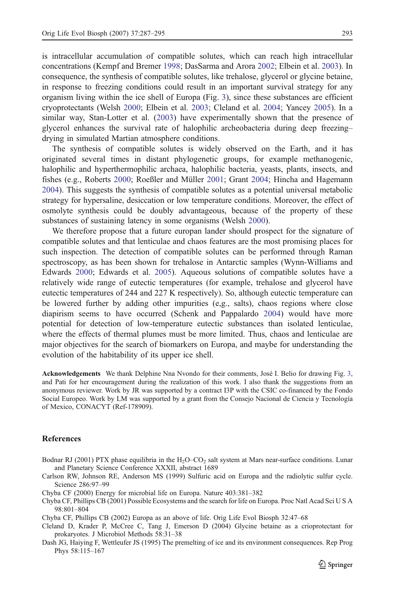<span id="page-6-0"></span>is intracellular accumulation of compatible solutes, which can reach high intracellular concentrations (Kempf and Bremer [1998;](#page-7-0) DasSarma and Arora [2002;](#page-7-0) Elbein et al. [2003\)](#page-7-0). In consequence, the synthesis of compatible solutes, like trehalose, glycerol or glycine betaine, in response to freezing conditions could result in an important survival strategy for any organism living within the ice shell of Europa (Fig. [3\)](#page-5-0), since these substances are efficient cryoprotectants (Welsh [2000;](#page-8-0) Elbein et al. [2003;](#page-7-0) Cleland et al. 2004; Yancey [2005](#page-8-0)). In a similar way, Stan-Lotter et al. [\(2003](#page-8-0)) have experimentally shown that the presence of glycerol enhances the survival rate of halophilic archeobacteria during deep freezing– drying in simulated Martian atmosphere conditions.

The synthesis of compatible solutes is widely observed on the Earth, and it has originated several times in distant phylogenetic groups, for example methanogenic, halophilic and hyperthermophilic archaea, halophilic bacteria, yeasts, plants, insects, and fishes (e.g., Roberts [2000;](#page-8-0) Roeßler and Müller [2001](#page-8-0); Grant [2004;](#page-7-0) Hincha and Hagemann [2004\)](#page-7-0). This suggests the synthesis of compatible solutes as a potential universal metabolic strategy for hypersaline, desiccation or low temperature conditions. Moreover, the effect of osmolyte synthesis could be doubly advantageous, because of the property of these substances of sustaining latency in some organisms (Welsh [2000](#page-8-0)).

We therefore propose that a future europan lander should prospect for the signature of compatible solutes and that lenticulae and chaos features are the most promising places for such inspection. The detection of compatible solutes can be performed through Raman spectroscopy, as has been shown for trehalose in Antarctic samples (Wynn-Williams and Edwards [2000](#page-8-0); Edwards et al. [2005](#page-7-0)). Aqueous solutions of compatible solutes have a relatively wide range of eutectic temperatures (for example, trehalose and glycerol have eutectic temperatures of 244 and 227 K respectively). So, although eutectic temperature can be lowered further by adding other impurities (e,g., salts), chaos regions where close diapirism seems to have occurred (Schenk and Pappalardo [2004](#page-8-0)) would have more potential for detection of low-temperature eutectic substances than isolated lenticulae, where the effects of thermal plumes must be more limited. Thus, chaos and lenticulae are major objectives for the search of biomarkers on Europa, and maybe for understanding the evolution of the habitability of its upper ice shell.

Acknowledgements We thank Delphine Nna Nvondo for their comments, José I. Belio for drawing Fig. [3,](#page-5-0) and Pati for her encouragement during the realization of this work. I also thank the suggestions from an anonymous reviewer. Work by JR was supported by a contract I3P with the CSIC co-financed by the Fondo Social Europeo. Work by LM was supported by a grant from the Consejo Nacional de Ciencia y Tecnología of Mexico, CONACYT (Ref-178909).

#### **References**

- Bodnar RJ (2001) PTX phase equilibria in the  $H_2O$ – $CO_2$  salt system at Mars near-surface conditions. Lunar and Planetary Science Conference XXXII, abstract 1689
- Carlson RW, Johnson RE, Anderson MS (1999) Sulfuric acid on Europa and the radiolytic sulfur cycle. Science 286:97–99
- Chyba CF (2000) Energy for microbial life on Europa. Nature 403:381–382
- Chyba CF, Phillips CB (2001) Possible Ecosystems and the search for life on Europa. Proc Natl Acad Sci U S A 98:801–804
- Chyba CF, Phillips CB (2002) Europa as an above of life. Orig Life Evol Biosph 32:47–68
- Cleland D, Krader P, McCree C, Tang J, Emerson D (2004) Glycine betaine as a crioprotectant for prokaryotes. J Microbiol Methods 58:31–38
- Dash JG, Haiying F, Wettleufer JS (1995) The premelting of ice and its environment consequences. Rep Prog Phys 58:115–167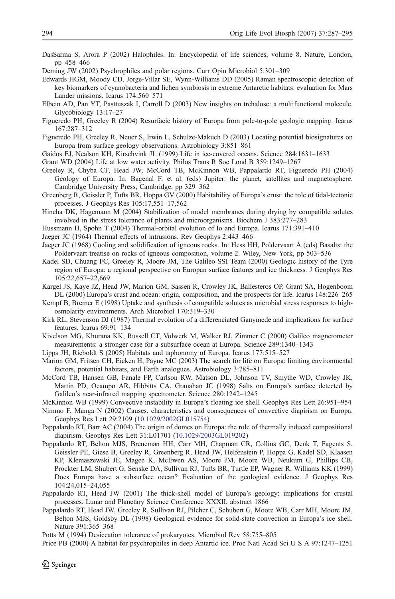<span id="page-7-0"></span>DasSarma S, Arora P (2002) Halophiles. In: Encyclopedia of life sciences, volume 8. Nature, London, pp 458–466

Deming JW (2002) Psychrophiles and polar regions. Curr Opin Microbiol 5:301–309

- Edwards HGM, Moody CD, Jorge-Villar SE, Wynn-Williams DD (2005) Raman spectroscopic detection of key biomarkers of cyanobacteria and lichen symbiosis in extreme Antarctic habitats: evaluation for Mars Lander missions. Icarus 174:560–571
- Elbein AD, Pan YT, Pasttuszak I, Carroll D (2003) New insights on trehalose: a multifunctional molecule. Glycobiology 13:17–27
- Figueredo PH, Greeley R (2004) Resurfacic history of Europa from pole-to-pole geologic mapping. Icarus 167:287–312
- Figueredo PH, Greeley R, Neuer S, Irwin L, Schulze-Makuch D (2003) Locating potential biosignatures on Europa from surface geology observations. Astrobiology 3:851–861
- Gaidos EJ, Nealson KH, Kirschvink JL (1999) Life in ice-covered oceans. Science 284:1631–1633
- Grant WD (2004) Life at low water activity. Philos Trans R Soc Lond B 359:1249–1267
- Greeley R, Chyba CF, Head JW, McCord TB, McKinnon WB, Pappalardo RT, Figueredo PH (2004) Geology of Europa. In: Bagenal F, et al. (eds) Jupiter: the planet, satellites and magnetosphere. Cambridge University Press, Cambridge, pp 329–362
- Greenberg R, Geissler P, Tufts BR, Hoppa GV (2000) Habitability of Europa's crust: the role of tidal-tectonic processes. J Geophys Res 105:17,551–17,562
- Hincha DK, Hagemann M (2004) Stabilization of model membranes during drying by compatible solutes involved in the stress tolerance of plants and microorganisms. Biochem J 383:277–283
- Hussmann H, Spohn T (2004) Thermal-orbital evolution of Io and Europa. Icarus 171:391–410
- Jaeger JC (1964) Thermal effects of intrusions. Rev Geophys 2:443–466
- Jaeger JC (1968) Cooling and solidification of igneous rocks. In: Hess HH, Poldervaart A (eds) Basalts: the Poldervaart treatise on rocks of igneous composition, volume 2. Wiley, New York, pp 503–536
- Kadel SD, Chuang FC, Greeley R, Moore JM, The Galileo SSI Team (2000) Geologic history of the Tyre region of Europa: a regional perspective on Europan surface features and ice thickness. J Geophys Res 105:22,657–22,669
- Kargel JS, Kaye JZ, Head JW, Marion GM, Sassen R, Crowley JK, Ballesteros OP, Grant SA, Hogenboom DL (2000) Europa's crust and ocean: origin, composition, and the prospects for life. Icarus 148:226–265
- Kempf B, Bremer E (1998) Uptake and synthesis of compatible solutes as microbial stress responses to highosmolarity environments. Arch Microbiol 170:319–330
- Kirk RL, Stevenson DJ (1987) Thermal evolution of a differenciated Ganymede and implications for surface features. Icarus 69:91–134
- Kivelson MG, Khurana KK, Russell CT, Volwerk M, Walker RJ, Zimmer C (2000) Galileo magnetometer measurements: a stronger case for a subsurface ocean at Europa. Science 289:1340–1343
- Lipps JH, Rieboldt S (2005) Habitats and taphonomy of Europa. Icarus 177:515–527
- Marion GM, Fritsen CH, Eicken H, Payne MC (2003) The search for life on Europa: limiting environmental factors, potential habitats, and Earth analogues. Astrobiology 3:785–811
- McCord TB, Hansen GB, Fanale FP, Carlson RW, Matson DL, Johnson TV, Smythe WD, Crowley JK, Martin PD, Ocampo AR, Hibbitts CA, Granahan JC (1998) Salts on Europa's surface detected by Galileo's near-infrared mapping spectrometer. Science 280:1242–1245
- McKinnon WB (1999) Convective instability in Europa's floating ice shell. Geophys Res Lett 26:951–954
- Nimmo F, Manga N (2002) Causes, characteristics and consequences of convective diapirism on Europa. Geophys Res Lett 29:2109 [\(10.1029/2002GL015754\)](http://dx.doi.org/10.1029/2002GL015754)
- Pappalardo RT, Barr AC (2004) The origin of domes on Europa: the role of thermally induced compositional diapirism. Geophys Res Lett 31:L01701 [\(10.1029/2003GL019202\)](http://dx.doi.org/10.1029/2003GL019202)
- Pappalardo RT, Belton MJS, Breneman HH, Carr MH, Chapman CR, Collins GC, Denk T, Fagents S, Geissler PE, Giese B, Greeley R, Greenberg R, Head JW, Helfenstein P, Hoppa G, Kadel SD, Klaasen KP, Klemaszewski JE, Magee K, McEwen AS, Moore JM, Moore WB, Neukum G, Phillips CB, Prockter LM, Shubert G, Senske DA, Sullivan RJ, Tufts BR, Turtle EP, Wagner R, Williams KK (1999) Does Europa have a subsurface ocean? Evaluation of the geological evidence. J Geophys Res 104:24,015–24,055
- Pappalardo RT, Head JW (2001) The thick-shell model of Europa's geology: implications for crustal processes. Lunar and Planetary Science Conference XXXII, abstract 1866
- Pappalardo RT, Head JW, Greeley R, Sullivan RJ, Pilcher C, Schubert G, Moore WB, Carr MH, Moore JM, Belton MJS, Goldsby DL (1998) Geological evidence for solid-state convection in Europa's ice shell. Nature 391:365–368
- Potts M (1994) Desiccation tolerance of prokaryotes. Microbiol Rev 58:755–805
- Price PB (2000) A habitat for psychrophiles in deep Antartic ice. Proc Natl Acad Sci U S A 97:1247–1251